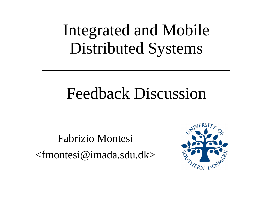# Integrated and Mobile Distributed Systems

## Feedback Discussion

Fabrizio Montesi <fmontesi@imada.sdu.dk>

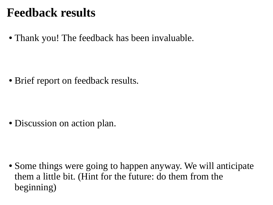#### **Feedback results**

• Thank you! The feedback has been invaluable.

• Brief report on feedback results.

• Discussion on action plan.

• Some things were going to happen anyway. We will anticipate them a little bit. (Hint for the future: do them from the beginning)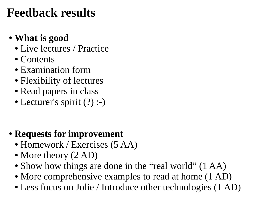### **Feedback results**

#### ● **What is good**

- Live lectures / Practice
- Contents
- Examination form
- Flexibility of lectures
- Read papers in class
- Lecturer's spirit (?) :-)

#### ● **Requests for improvement**

- Homework / Exercises (5 AA)
- More theory (2 AD)
- Show how things are done in the "real world" (1 AA)
- More comprehensive examples to read at home  $(1 AD)$
- Less focus on Jolie / Introduce other technologies (1 AD)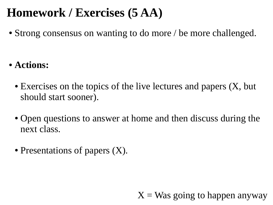### **Homework / Exercises (5 AA)**

• Strong consensus on wanting to do more / be more challenged.

- **Actions:**
	- $\bullet$  Exercises on the topics of the live lectures and papers  $(X, but)$ should start sooner).
	- Open questions to answer at home and then discuss during the next class.
	- Presentations of papers  $(X)$ .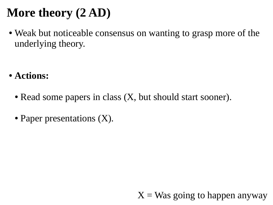## **More theory (2 AD)**

• Weak but noticeable consensus on wanting to grasp more of the underlying theory.

- **Actions:**
	- Read some papers in class  $(X,$  but should start sooner).
	- Paper presentations (X).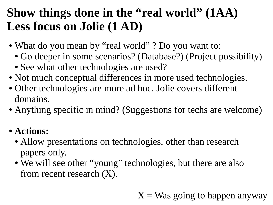### **Show things done in the "real world" (1AA) Less focus on Jolie (1 AD)**

- What do you mean by "real world" ? Do you want to:
	- Go deeper in some scenarios? (Database?) (Project possibility)
	- See what other technologies are used?
- Not much conceptual differences in more used technologies.
- Other technologies are more ad hoc. Jolie covers different domains.
- Anything specific in mind? (Suggestions for techs are welcome)

#### ● **Actions:**

- Allow presentations on technologies, other than research papers only.
- We will see other "young" technologies, but there are also from recent research  $(X)$ .